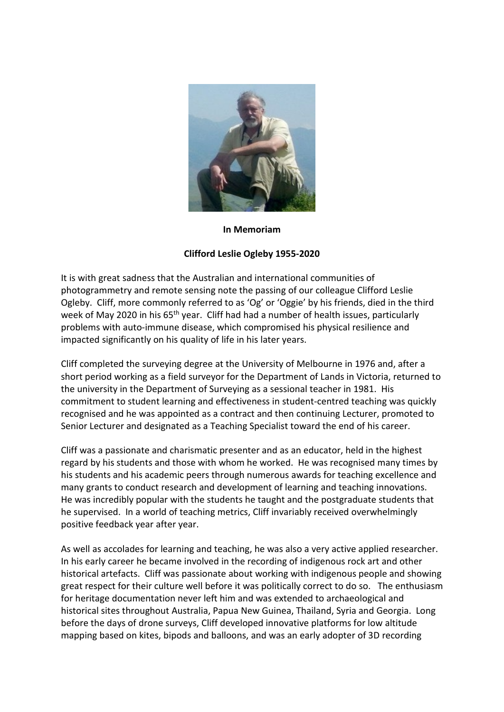

## **In Memoriam**

## **Clifford Leslie Ogleby 1955-2020**

It is with great sadness that the Australian and international communities of photogrammetry and remote sensing note the passing of our colleague Clifford Leslie Ogleby. Cliff, more commonly referred to as 'Og' or 'Oggie' by his friends, died in the third week of May 2020 in his 65<sup>th</sup> year. Cliff had had a number of health issues, particularly problems with auto-immune disease, which compromised his physical resilience and impacted significantly on his quality of life in his later years.

Cliff completed the surveying degree at the University of Melbourne in 1976 and, after a short period working as a field surveyor for the Department of Lands in Victoria, returned to the university in the Department of Surveying as a sessional teacher in 1981. His commitment to student learning and effectiveness in student-centred teaching was quickly recognised and he was appointed as a contract and then continuing Lecturer, promoted to Senior Lecturer and designated as a Teaching Specialist toward the end of his career.

Cliff was a passionate and charismatic presenter and as an educator, held in the highest regard by his students and those with whom he worked. He was recognised many times by his students and his academic peers through numerous awards for teaching excellence and many grants to conduct research and development of learning and teaching innovations. He was incredibly popular with the students he taught and the postgraduate students that he supervised. In a world of teaching metrics, Cliff invariably received overwhelmingly positive feedback year after year.

As well as accolades for learning and teaching, he was also a very active applied researcher. In his early career he became involved in the recording of indigenous rock art and other historical artefacts. Cliff was passionate about working with indigenous people and showing great respect for their culture well before it was politically correct to do so. The enthusiasm for heritage documentation never left him and was extended to archaeological and historical sites throughout Australia, Papua New Guinea, Thailand, Syria and Georgia. Long before the days of drone surveys, Cliff developed innovative platforms for low altitude mapping based on kites, bipods and balloons, and was an early adopter of 3D recording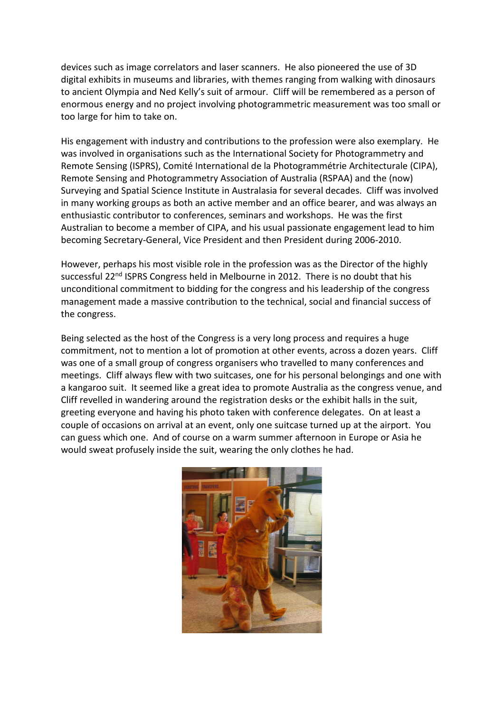devices such as image correlators and laser scanners. He also pioneered the use of 3D digital exhibits in museums and libraries, with themes ranging from walking with dinosaurs to ancient Olympia and Ned Kelly's suit of armour. Cliff will be remembered as a person of enormous energy and no project involving photogrammetric measurement was too small or too large for him to take on.

His engagement with industry and contributions to the profession were also exemplary. He was involved in organisations such as the International Society for Photogrammetry and Remote Sensing (ISPRS), Comité International de la Photogrammétrie Architecturale (CIPA), Remote Sensing and Photogrammetry Association of Australia (RSPAA) and the (now) Surveying and Spatial Science Institute in Australasia for several decades. Cliff was involved in many working groups as both an active member and an office bearer, and was always an enthusiastic contributor to conferences, seminars and workshops. He was the first Australian to become a member of CIPA, and his usual passionate engagement lead to him becoming Secretary-General, Vice President and then President during 2006-2010.

However, perhaps his most visible role in the profession was as the Director of the highly successful 22<sup>nd</sup> ISPRS Congress held in Melbourne in 2012. There is no doubt that his unconditional commitment to bidding for the congress and his leadership of the congress management made a massive contribution to the technical, social and financial success of the congress.

Being selected as the host of the Congress is a very long process and requires a huge commitment, not to mention a lot of promotion at other events, across a dozen years. Cliff was one of a small group of congress organisers who travelled to many conferences and meetings. Cliff always flew with two suitcases, one for his personal belongings and one with a kangaroo suit. It seemed like a great idea to promote Australia as the congress venue, and Cliff revelled in wandering around the registration desks or the exhibit halls in the suit, greeting everyone and having his photo taken with conference delegates. On at least a couple of occasions on arrival at an event, only one suitcase turned up at the airport. You can guess which one. And of course on a warm summer afternoon in Europe or Asia he would sweat profusely inside the suit, wearing the only clothes he had.